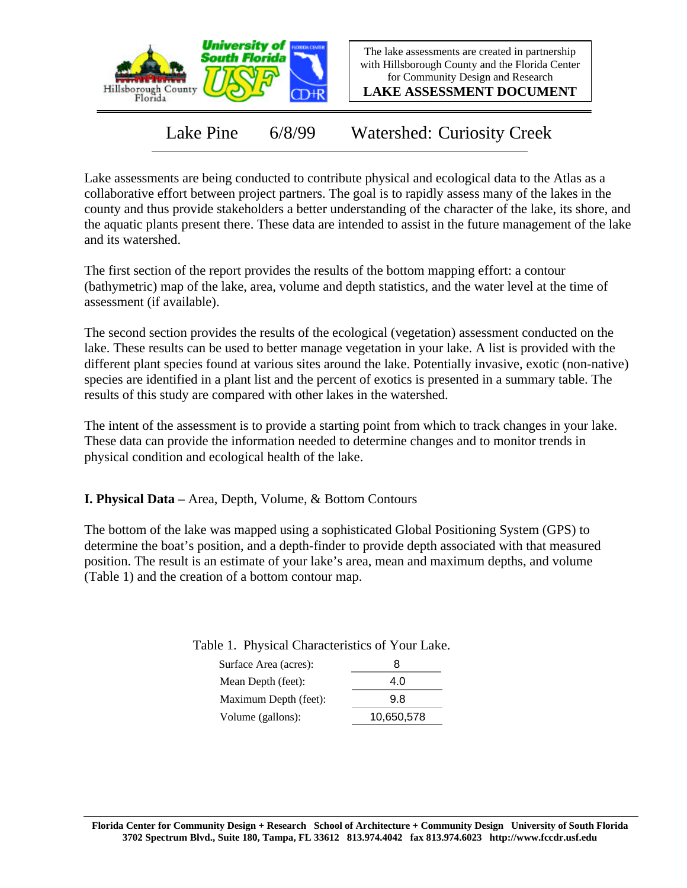

The lake assessments are created in partnership with Hillsborough County and the Florida Center for Community Design and Research

**LAKE ASSESSMENT DOCUMENT**

Lake Pine 6/8/99 Watershed: Curiosity Creek

Lake assessments are being conducted to contribute physical and ecological data to the Atlas as a collaborative effort between project partners. The goal is to rapidly assess many of the lakes in the county and thus provide stakeholders a better understanding of the character of the lake, its shore, and the aquatic plants present there. These data are intended to assist in the future management of the lake and its watershed.

The first section of the report provides the results of the bottom mapping effort: a contour (bathymetric) map of the lake, area, volume and depth statistics, and the water level at the time of assessment (if available).

The second section provides the results of the ecological (vegetation) assessment conducted on the lake. These results can be used to better manage vegetation in your lake. A list is provided with the different plant species found at various sites around the lake. Potentially invasive, exotic (non-native) species are identified in a plant list and the percent of exotics is presented in a summary table. The results of this study are compared with other lakes in the watershed.

The intent of the assessment is to provide a starting point from which to track changes in your lake. These data can provide the information needed to determine changes and to monitor trends in physical condition and ecological health of the lake.

**I. Physical Data –** Area, Depth, Volume, & Bottom Contours

The bottom of the lake was mapped using a sophisticated Global Positioning System (GPS) to determine the boat's position, and a depth-finder to provide depth associated with that measured position. The result is an estimate of your lake's area, mean and maximum depths, and volume (Table 1) and the creation of a bottom contour map.

| Surface Area (acres): | я   |
|-----------------------|-----|
| Mean Depth (feet):    | 4.0 |
| Maximum Depth (feet): | 9 8 |

Volume (gallons): 10,650,578

Table 1. Physical Characteristics of Your Lake.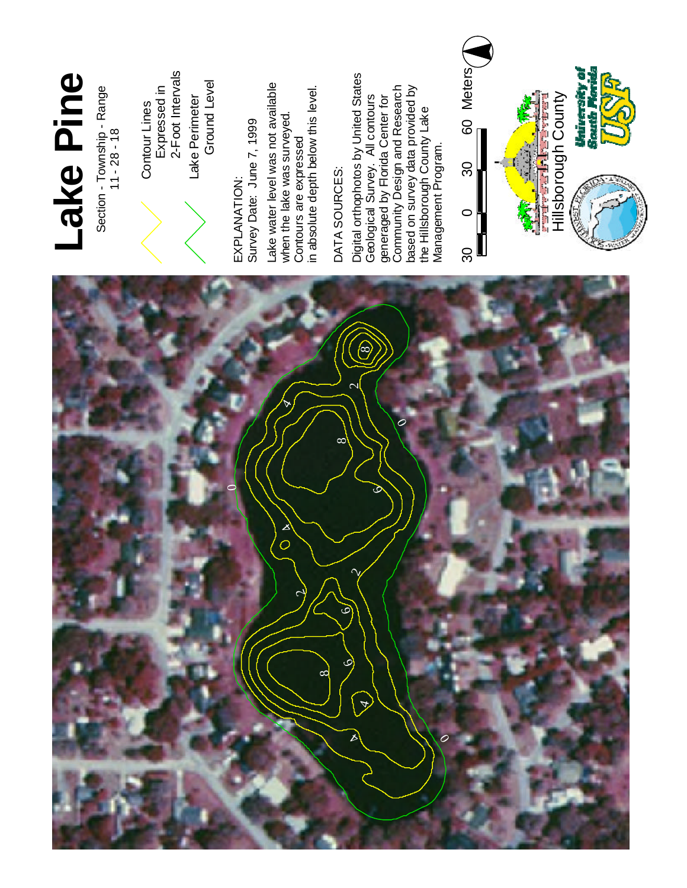

## **L a ke** <u>p</u> **i n e**

Section - Township - Range  $11 - 28 - 18$ 



L a k e Perimeter Ground L e v el Contour Lines Expressed in 2-Foot Intervals

E X P L A N ATIO N : S u r v e y Date: J u n e 7 , 1 9 9 9 La k e water level was n o t a v aila ble when the lake w a s surveyed. Contours a r e expressed in absolute depth below this level.

# D AT A SOURCES:

Digit al orthophotos b y U nit e d **States** G e olo gic al Survey. All contours generaged b y Flo rid a Center for com m u nit y Design a n d **Research** b a s e d o n s u r v e y d a t a provided b y t h e Hillsborough County L a k e Management Program.

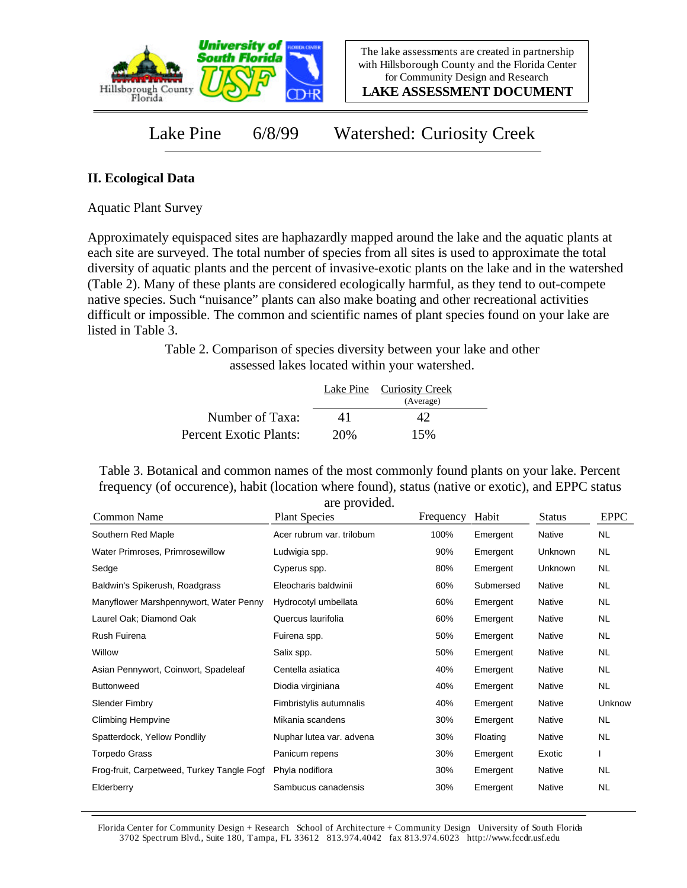

**LAKE ASSESSMENT DOCUMENT**

Lake Pine 6/8/99 Watershed: Curiosity Creek

#### **II. Ecological Data**

Aquatic Plant Survey

Approximately equispaced sites are haphazardly mapped around the lake and the aquatic plants at each site are surveyed. The total number of species from all sites is used to approximate the total diversity of aquatic plants and the percent of invasive-exotic plants on the lake and in the watershed (Table 2). Many of these plants are considered ecologically harmful, as they tend to out-compete native species. Such "nuisance" plants can also make boating and other recreational activities difficult or impossible. The common and scientific names of plant species found on your lake are listed in Table 3.

> Table 2. Comparison of species diversity between your lake and other assessed lakes located within your watershed.

|                        |     | Lake Pine Curiosity Creek<br>(Average) |  |
|------------------------|-----|----------------------------------------|--|
| Number of Taxa:        | 41  |                                        |  |
| Percent Exotic Plants: | 20% | 15%                                    |  |

Table 3. Botanical and common names of the most commonly found plants on your lake. Percent frequency (of occurence), habit (location where found), status (native or exotic), and EPPC status are provided.

| Common Name                                | <b>Plant Species</b>      | Frequency | Habit     | <b>Status</b> | <b>EPPC</b> |
|--------------------------------------------|---------------------------|-----------|-----------|---------------|-------------|
| Southern Red Maple                         | Acer rubrum var. trilobum | 100%      | Emergent  | Native        | NL.         |
| Water Primroses, Primrosewillow            | Ludwigia spp.             | 90%       | Emergent  | Unknown       | NL.         |
| Sedge                                      | Cyperus spp.              | 80%       | Emergent  | Unknown       | NL.         |
| Baldwin's Spikerush, Roadgrass             | Eleocharis baldwinii      | 60%       | Submersed | Native        | NL.         |
| Manyflower Marshpennywort, Water Penny     | Hydrocotyl umbellata      | 60%       | Emergent  | Native        | NL          |
| Laurel Oak; Diamond Oak                    | Quercus laurifolia        | 60%       | Emergent  | Native        | NL          |
| <b>Rush Fuirena</b>                        | Fuirena spp.              | 50%       | Emergent  | Native        | NL.         |
| Willow                                     | Salix spp.                | 50%       | Emergent  | Native        | NL.         |
| Asian Pennywort, Coinwort, Spadeleaf       | Centella asiatica         | 40%       | Emergent  | Native        | NL          |
| <b>Buttonweed</b>                          | Diodia virginiana         | 40%       | Emergent  | Native        | NL.         |
| <b>Slender Fimbry</b>                      | Fimbristylis autumnalis   | 40%       | Emergent  | Native        | Unknow      |
| <b>Climbing Hempvine</b>                   | Mikania scandens          | 30%       | Emergent  | Native        | NL.         |
| Spatterdock, Yellow Pondlily               | Nuphar lutea var. advena  | 30%       | Floating  | Native        | <b>NL</b>   |
| Torpedo Grass                              | Panicum repens            | 30%       | Emergent  | Exotic        |             |
| Frog-fruit, Carpetweed, Turkey Tangle Fogf | Phyla nodiflora           | 30%       | Emergent  | Native        | NL.         |
| Elderberry                                 | Sambucus canadensis       | 30%       | Emergent  | Native        | <b>NL</b>   |

Florida Center for Community Design + Research School of Architecture + Community Design University of South Florida 3702 Spectrum Blvd., Suite 180, Tampa, FL 33612 813.974.4042 fax 813.974.6023 http://www.fccdr.usf.edu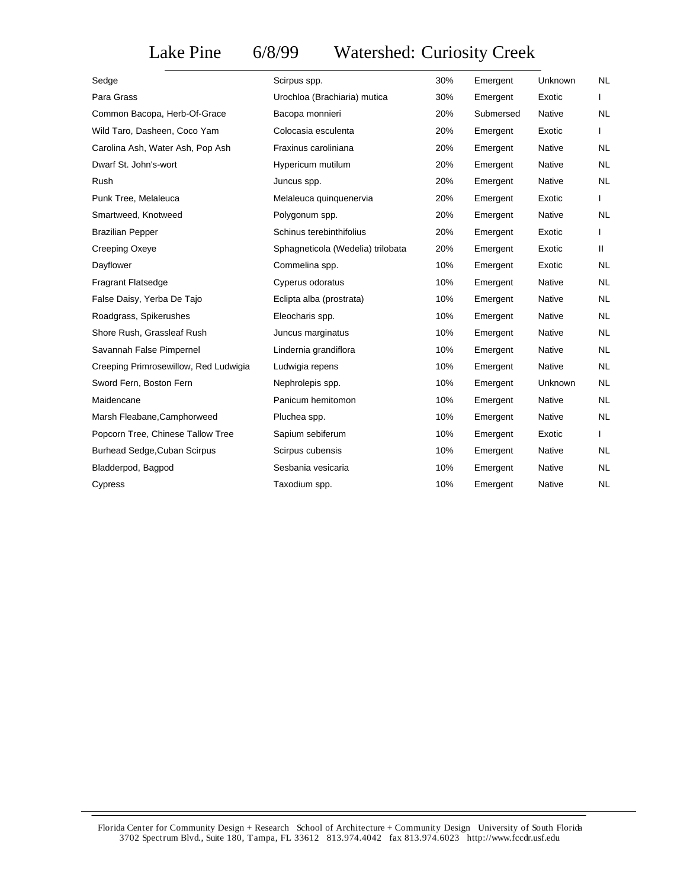### Lake Pine 6/8/99 Watershed: Curiosity Creek

| Sedge                                 | Scirpus spp.                      | 30% | Emergent  | Unknown        | <b>NL</b> |
|---------------------------------------|-----------------------------------|-----|-----------|----------------|-----------|
| Para Grass                            | Urochloa (Brachiaria) mutica      | 30% | Emergent  | Exotic         |           |
| Common Bacopa, Herb-Of-Grace          | Bacopa monnieri                   | 20% | Submersed | Native         | <b>NL</b> |
| Wild Taro, Dasheen, Coco Yam          | Colocasia esculenta               | 20% | Emergent  | Exotic         |           |
| Carolina Ash, Water Ash, Pop Ash      | Fraxinus caroliniana              | 20% | Emergent  | Native         | <b>NL</b> |
| Dwarf St. John's-wort                 | Hypericum mutilum                 | 20% | Emergent  | <b>Native</b>  | <b>NL</b> |
| Rush                                  | Juncus spp.                       | 20% | Emergent  | Native         | <b>NL</b> |
| Punk Tree, Melaleuca                  | Melaleuca quinquenervia           | 20% | Emergent  | Exotic         | L         |
| Smartweed, Knotweed                   | Polygonum spp.                    | 20% | Emergent  | Native         | <b>NL</b> |
| <b>Brazilian Pepper</b>               | Schinus terebinthifolius          | 20% | Emergent  | Exotic         | L         |
| Creeping Oxeye                        | Sphagneticola (Wedelia) trilobata | 20% | Emergent  | Exotic         | Ш.        |
| Dayflower                             | Commelina spp.                    | 10% | Emergent  | Exotic         | <b>NL</b> |
| <b>Fragrant Flatsedge</b>             | Cyperus odoratus                  | 10% | Emergent  | Native         | <b>NL</b> |
| False Daisy, Yerba De Tajo            | Eclipta alba (prostrata)          | 10% | Emergent  | <b>Native</b>  | NL.       |
| Roadgrass, Spikerushes                | Eleocharis spp.                   | 10% | Emergent  | <b>Native</b>  | <b>NL</b> |
| Shore Rush, Grassleaf Rush            | Juncus marginatus                 | 10% | Emergent  | Native         | NL.       |
| Savannah False Pimpernel              | Lindernia grandiflora             | 10% | Emergent  | Native         | <b>NL</b> |
| Creeping Primrosewillow, Red Ludwigia | Ludwigia repens                   | 10% | Emergent  | Native         | <b>NL</b> |
| Sword Fern, Boston Fern               | Nephrolepis spp.                  | 10% | Emergent  | <b>Unknown</b> | NL.       |
| Maidencane                            | Panicum hemitomon                 | 10% | Emergent  | Native         | <b>NL</b> |
| Marsh Fleabane, Camphorweed           | Pluchea spp.                      | 10% | Emergent  | Native         | NL.       |
| Popcorn Tree, Chinese Tallow Tree     | Sapium sebiferum                  | 10% | Emergent  | Exotic         | L         |
| Burhead Sedge, Cuban Scirpus          | Scirpus cubensis                  | 10% | Emergent  | Native         | <b>NL</b> |
| Bladderpod, Bagpod                    | Sesbania vesicaria                | 10% | Emergent  | Native         | <b>NL</b> |
| Cypress                               | Taxodium spp.                     | 10% | Emergent  | Native         | <b>NL</b> |